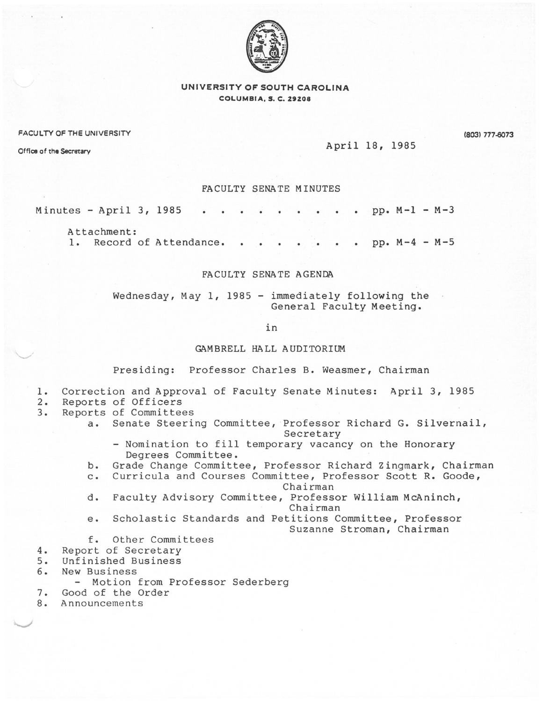

# UNIVERSITY OF SOUTH CAROLINA COLUMBIA, S. C. Z9Z08

### FACULTY OF THE UNIVERSITY

(803) 777-0073

April 18, 1985

Office of the Secretary

FACULTY SENATE MINUTES

#### Minutes - April 3, 1985 pp. M-1 - M-3

Attachment: 1. Record of Attendance. . . . . . . pp.  $M-4 - M-5$ 

## FACULTY SENA TE AGENDA

Wednesday, May 1, 1985 - immediately following the General Faculty Meeting.

in

## GAMBRELL HALL AUDITORIUM

Presiding: Professor Charles B. Weasmer, Chairman

- 1. Correction and Approval of Faculty Senate Minutes: April 3, 1985<br>2. Reports of Officers
- 2. Reports of Officers<br>3. Reports of Committee
- 3. Reports of Committees
	- a. Senate Steering Committee, Professor Richard G. Silvernail, Secretary
		- Nomination to fill temporary vacancy on the Honorary Degrees Committee.
	- b. Grade Change Committee, Professor Richard Zingmark, Chairman
	- c. Curricula and Courses Committee, Professor Scott R. Goode, Chairman

- d. Faculty Advisory Committee, Professor William McAninch, Chairman
- e. Scholastic Standards and Petitions Committee, Professor Suzanne Stroman, Chairman
- f. Other Committees
- 4. Report of Secretary<br>5. Unfinished Business
- 5. Unfinished Business
- 6. New Business
	- Motion from Professor Sederberg
- 7. Good of the Order<br>8. Announcements
- 8. Announcements